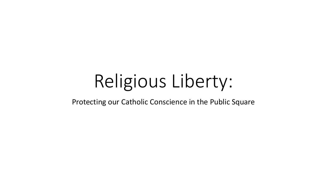# Religious Liberty:

Protecting our Catholic Conscience in the Public Square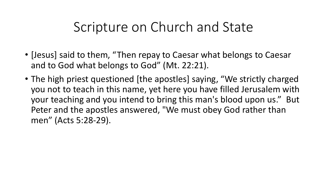#### Scripture on Church and State

- [Jesus] said to them, "Then repay to Caesar what belongs to Caesar and to God what belongs to God" (Mt. 22:21).
- The high priest questioned [the apostles] saying, "We strictly charged you not to teach in this name, yet here you have filled Jerusalem with your teaching and you intend to bring this man's blood upon us." But Peter and the apostles answered, "We must obey God rather than men" (Acts 5:28-29).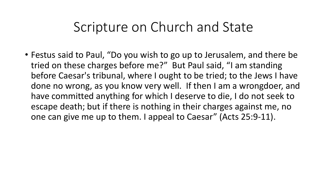#### Scripture on Church and State

• Festus said to Paul, "Do you wish to go up to Jerusalem, and there be tried on these charges before me?" But Paul said, "I am standing before Caesar's tribunal, where I ought to be tried; to the Jews I have done no wrong, as you know very well. If then I am a wrongdoer, and have committed anything for which I deserve to die, I do not seek to escape death; but if there is nothing in their charges against me, no one can give me up to them. I appeal to Caesar" (Acts 25:9-11).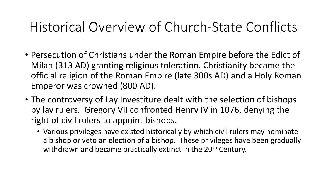- Persecution of Christians under the Roman Empire before the Edict of Milan (313 AD) granting religious toleration. Christianity became the official religion of the Roman Empire (late 300s AD) and a Holy Roman Emperor was crowned (800 AD).
- The controversy of Lay Investiture dealt with the selection of bishops by lay rulers. Gregory VII confronted Henry IV in 1076, denying the right of civil rulers to appoint bishops.
	- Various privileges have existed historically by which civil rulers may nominate a bishop or veto an election of a bishop. These privileges have been gradually withdrawn and became practically extinct in the 20<sup>th</sup> Century.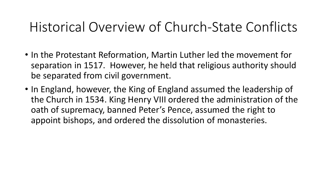- In the Protestant Reformation, Martin Luther led the movement for separation in 1517. However, he held that religious authority should be separated from civil government.
- In England, however, the King of England assumed the leadership of the Church in 1534. King Henry VIII ordered the administration of the oath of supremacy, banned Peter's Pence, assumed the right to appoint bishops, and ordered the dissolution of monasteries.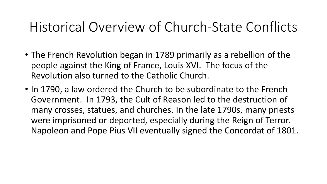- The French Revolution began in 1789 primarily as a rebellion of the people against the King of France, Louis XVI. The focus of the Revolution also turned to the Catholic Church.
- In 1790, a law ordered the Church to be subordinate to the French Government. In 1793, the Cult of Reason led to the destruction of many crosses, statues, and churches. In the late 1790s, many priests were imprisoned or deported, especially during the Reign of Terror. Napoleon and Pope Pius VII eventually signed the Concordat of 1801.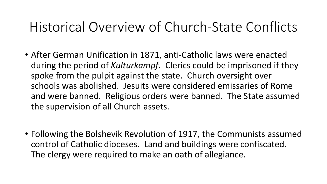- After German Unification in 1871, anti-Catholic laws were enacted during the period of *Kulturkampf*. Clerics could be imprisoned if they spoke from the pulpit against the state. Church oversight over schools was abolished. Jesuits were considered emissaries of Rome and were banned. Religious orders were banned. The State assumed the supervision of all Church assets.
- Following the Bolshevik Revolution of 1917, the Communists assumed control of Catholic dioceses. Land and buildings were confiscated. The clergy were required to make an oath of allegiance.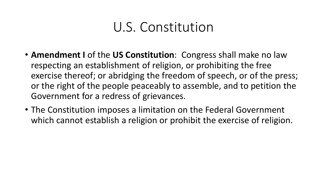#### U.S. Constitution

- **Amendment I** of the **US Constitution**: Congress shall make no law respecting an establishment of religion, or prohibiting the free exercise thereof; or abridging the freedom of speech, or of the press; or the right of the people peaceably to assemble, and to petition the Government for a redress of grievances.
- The Constitution imposes a limitation on the Federal Government which cannot establish a religion or prohibit the exercise of religion.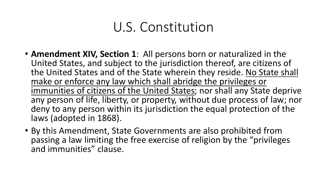#### U.S. Constitution

- **Amendment XIV, Section 1**: All persons born or naturalized in the United States, and subject to the jurisdiction thereof, are citizens of the United States and of the State wherein they reside. No State shall make or enforce any law which shall abridge the privileges or immunities of citizens of the United States; nor shall any State deprive any person of life, liberty, or property, without due process of law; nor deny to any person within its jurisdiction the equal protection of the laws (adopted in 1868).
- By this Amendment, State Governments are also prohibited from passing a law limiting the free exercise of religion by the "privileges and immunities" clause.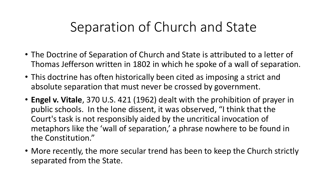## Separation of Church and State

- The Doctrine of Separation of Church and State is attributed to a letter of Thomas Jefferson written in 1802 in which he spoke of a wall of separation.
- This doctrine has often historically been cited as imposing a strict and absolute separation that must never be crossed by government.
- **Engel v. Vitale**, 370 U.S. 421 (1962) dealt with the prohibition of prayer in public schools. In the lone dissent, it was observed, "I think that the Court's task is not responsibly aided by the uncritical invocation of metaphors like the 'wall of separation,' a phrase nowhere to be found in the Constitution."
- More recently, the more secular trend has been to keep the Church strictly separated from the State.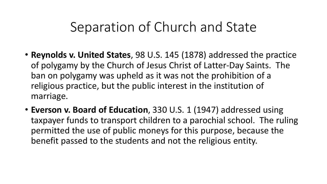#### Separation of Church and State

- **Reynolds v. United States**, 98 U.S. 145 (1878) addressed the practice of polygamy by the Church of Jesus Christ of Latter-Day Saints. The ban on polygamy was upheld as it was not the prohibition of a religious practice, but the public interest in the institution of marriage.
- **Everson v. Board of Education**, 330 U.S. 1 (1947) addressed using taxpayer funds to transport children to a parochial school. The ruling permitted the use of public moneys for this purpose, because the benefit passed to the students and not the religious entity.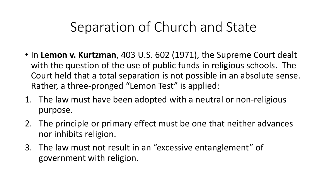## Separation of Church and State

- In **Lemon v. Kurtzman**, 403 U.S. 602 (1971), the Supreme Court dealt with the question of the use of public funds in religious schools. The Court held that a total separation is not possible in an absolute sense. Rather, a three-pronged "Lemon Test" is applied:
- 1. The law must have been adopted with a neutral or non-religious purpose.
- 2. The principle or primary effect must be one that neither advances nor inhibits religion.
- 3. The law must not result in an "excessive entanglement" of government with religion.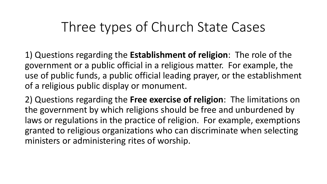#### Three types of Church State Cases

1) Questions regarding the **Establishment of religion**: The role of the government or a public official in a religious matter. For example, the use of public funds, a public official leading prayer, or the establishment of a religious public display or monument.

2) Questions regarding the **Free exercise of religion**: The limitations on the government by which religions should be free and unburdened by laws or regulations in the practice of religion. For example, exemptions granted to religious organizations who can discriminate when selecting ministers or administering rites of worship.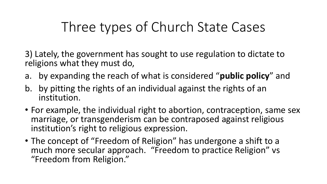## Three types of Church State Cases

3) Lately, the government has sought to use regulation to dictate to religions what they must do,

- a. by expanding the reach of what is considered "**public policy**" and
- b. by pitting the rights of an individual against the rights of an institution.
- For example, the individual right to abortion, contraception, same sex marriage, or transgenderism can be contraposed against religious institution's right to religious expression.
- The concept of "Freedom of Religion" has undergone a shift to a much more secular approach. "Freedom to practice Religion" vs "Freedom from Religion."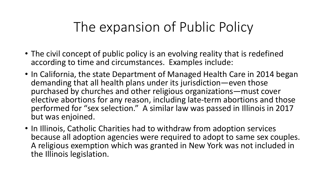# The expansion of Public Policy

- The civil concept of public policy is an evolving reality that is redefined according to time and circumstances. Examples include:
- In California, the state Department of Managed Health Care in 2014 began demanding that all health plans under its jurisdiction—even those purchased by churches and other religious organizations—must cover elective abortions for any reason, including late-term abortions and those performed for "sex selection." A similar law was passed in Illinois in 2017 but was enjoined.
- In Illinois, Catholic Charities had to withdraw from adoption services because all adoption agencies were required to adopt to same sex couples. A religious exemption which was granted in New York was not included in the Illinois legislation.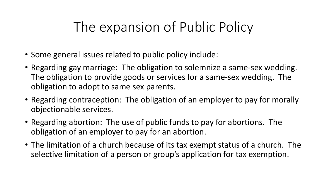# The expansion of Public Policy

- Some general issues related to public policy include:
- Regarding gay marriage: The obligation to solemnize a same-sex wedding. The obligation to provide goods or services for a same-sex wedding. The obligation to adopt to same sex parents.
- Regarding contraception: The obligation of an employer to pay for morally objectionable services.
- Regarding abortion: The use of public funds to pay for abortions. The obligation of an employer to pay for an abortion.
- The limitation of a church because of its tax exempt status of a church. The selective limitation of a person or group's application for tax exemption.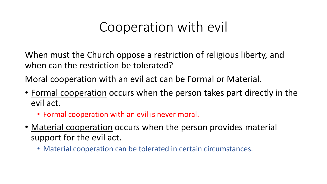#### Cooperation with evil

When must the Church oppose a restriction of religious liberty, and when can the restriction be tolerated?

Moral cooperation with an evil act can be Formal or Material.

- Formal cooperation occurs when the person takes part directly in the evil act.
	- Formal cooperation with an evil is never moral.
- Material cooperation occurs when the person provides material support for the evil act.
	- Material cooperation can be tolerated in certain circumstances.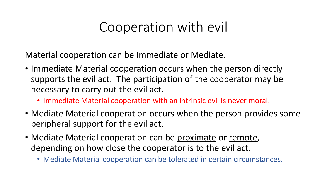#### Cooperation with evil

Material cooperation can be Immediate or Mediate.

- Immediate Material cooperation occurs when the person directly supports the evil act. The participation of the cooperator may be necessary to carry out the evil act.
	- Immediate Material cooperation with an intrinsic evil is never moral.
- Mediate Material cooperation occurs when the person provides some peripheral support for the evil act.
- Mediate Material cooperation can be proximate or remote, depending on how close the cooperator is to the evil act.
	- Mediate Material cooperation can be tolerated in certain circumstances.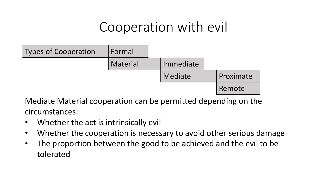#### Cooperation with evil



Mediate Material cooperation can be permitted depending on the circumstances:

- Whether the act is intrinsically evil
- Whether the cooperation is necessary to avoid other serious damage
- The proportion between the good to be achieved and the evil to be tolerated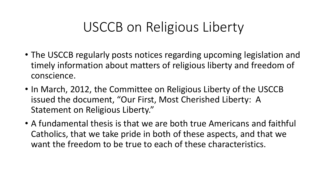- The USCCB regularly posts notices regarding upcoming legislation and timely information about matters of religious liberty and freedom of conscience.
- In March, 2012, the Committee on Religious Liberty of the USCCB issued the document, "Our First, Most Cherished Liberty: A Statement on Religious Liberty."
- A fundamental thesis is that we are both true Americans and faithful Catholics, that we take pride in both of these aspects, and that we want the freedom to be true to each of these characteristics.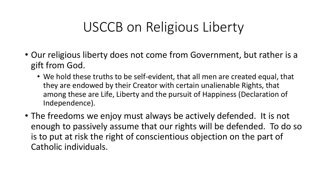- Our religious liberty does not come from Government, but rather is a gift from God.
	- We hold these truths to be self-evident, that all men are created equal, that they are endowed by their Creator with certain unalienable Rights, that among these are Life, Liberty and the pursuit of Happiness (Declaration of Independence).
- The freedoms we enjoy must always be actively defended. It is not enough to passively assume that our rights will be defended. To do so is to put at risk the right of conscientious objection on the part of Catholic individuals.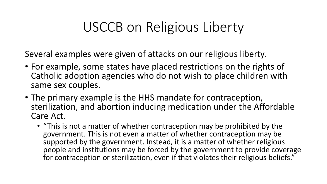Several examples were given of attacks on our religious liberty.

- For example, some states have placed restrictions on the rights of Catholic adoption agencies who do not wish to place children with same sex couples.
- The primary example is the HHS mandate for contraception, sterilization, and abortion inducing medication under the Affordable Care Act.
	- "This is not a matter of whether contraception may be prohibited by the government. This is not even a matter of whether contraception may be supported by the government. Instead, it is a matter of whether religious people and institutions may be forced by the government to provide coverage for contraception or sterilization, even if that violates their religious beliefs."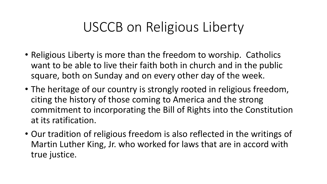- Religious Liberty is more than the freedom to worship. Catholics want to be able to live their faith both in church and in the public square, both on Sunday and on every other day of the week.
- The heritage of our country is strongly rooted in religious freedom, citing the history of those coming to America and the strong commitment to incorporating the Bill of Rights into the Constitution at its ratification.
- Our tradition of religious freedom is also reflected in the writings of Martin Luther King, Jr. who worked for laws that are in accord with true justice.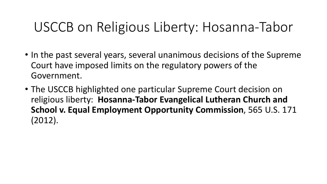## USCCB on Religious Liberty: Hosanna-Tabor

- In the past several years, several unanimous decisions of the Supreme Court have imposed limits on the regulatory powers of the Government.
- The USCCB highlighted one particular Supreme Court decision on religious liberty: **Hosanna-Tabor Evangelical Lutheran Church and School v. Equal Employment Opportunity Commission**, 565 U.S. 171 (2012).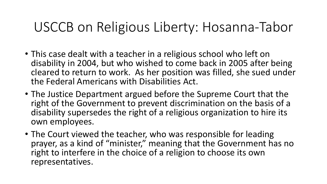## USCCB on Religious Liberty: Hosanna-Tabor

- This case dealt with a teacher in a religious school who left on disability in 2004, but who wished to come back in 2005 after being cleared to return to work. As her position was filled, she sued under the Federal Americans with Disabilities Act.
- The Justice Department argued before the Supreme Court that the right of the Government to prevent discrimination on the basis of a disability supersedes the right of a religious organization to hire its own employees.
- The Court viewed the teacher, who was responsible for leading prayer, as a kind of "minister," meaning that the Government has no right to interfere in the choice of a religion to choose its own representatives.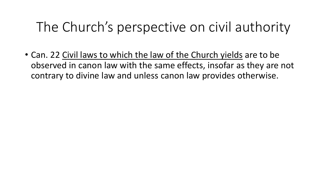## The Church's perspective on civil authority

• Can. 22 Civil laws to which the law of the Church yields are to be observed in canon law with the same effects, insofar as they are not contrary to divine law and unless canon law provides otherwise.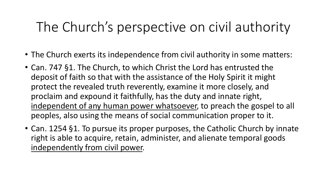# The Church's perspective on civil authority

- The Church exerts its independence from civil authority in some matters:
- Can. 747 §1. The Church, to which Christ the Lord has entrusted the deposit of faith so that with the assistance of the Holy Spirit it might protect the revealed truth reverently, examine it more closely, and proclaim and expound it faithfully, has the duty and innate right, independent of any human power whatsoever, to preach the gospel to all peoples, also using the means of social communication proper to it.
- Can. 1254 §1. To pursue its proper purposes, the Catholic Church by innate right is able to acquire, retain, administer, and alienate temporal goods independently from civil power.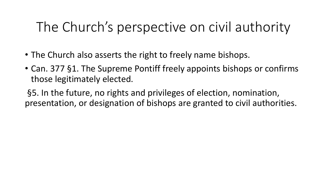## The Church's perspective on civil authority

- The Church also asserts the right to freely name bishops.
- Can. 377 §1. The Supreme Pontiff freely appoints bishops or confirms those legitimately elected.

§5. In the future, no rights and privileges of election, nomination, presentation, or designation of bishops are granted to civil authorities.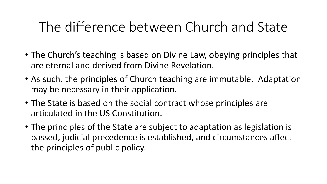## The difference between Church and State

- The Church's teaching is based on Divine Law, obeying principles that are eternal and derived from Divine Revelation.
- As such, the principles of Church teaching are immutable. Adaptation may be necessary in their application.
- The State is based on the social contract whose principles are articulated in the US Constitution.
- The principles of the State are subject to adaptation as legislation is passed, judicial precedence is established, and circumstances affect the principles of public policy.